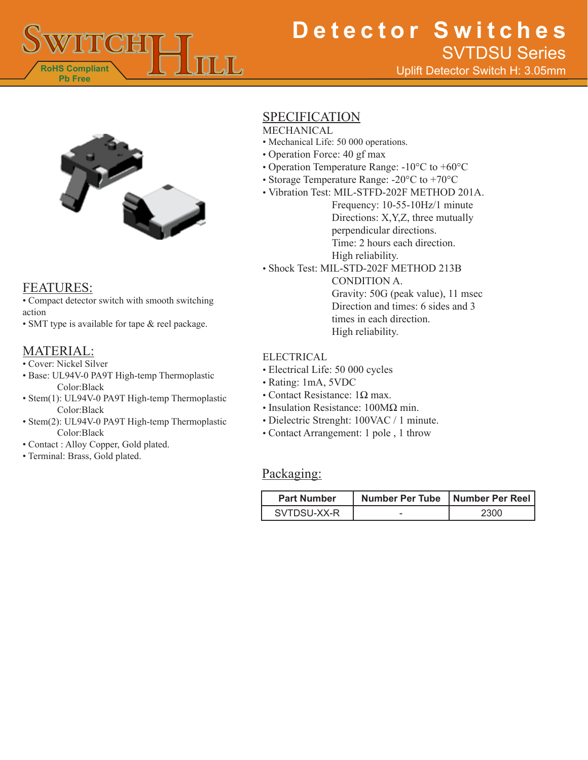

# **Detector Switches** Uplift Detector Switch H: 3.05mm SVTDSU Series



## FEATURES:

• Compact detector switch with smooth switching action

• SMT type is available for tape & reel package.

## MATERIAL:

- Cover: Nickel Silver
- Base: UL94V-0 PA9T High-temp Thermoplastic Color:Black
- Stem(1): UL94V-0 PA9T High-temp Thermoplastic Color:Black
- Stem(2): UL94V-0 PA9T High-temp Thermoplastic Color:Black
- Contact : Alloy Copper, Gold plated.
- Terminal: Brass, Gold plated.

## SPECIFICATION

**MECHANICAL** 

- Mechanical Life: 50 000 operations.
- Operation Force: 40 gf max
- Operation Temperature Range: -10°C to +60°C
- Storage Temperature Range: -20°C to +70°C
- Vibration Test: MIL-STFD-202F METHOD 201A.

Frequency: 10-55-10Hz/1 minute Directions: X,Y,Z, three mutually perpendicular directions. Time: 2 hours each direction. High reliability.

• Shock Test: MIL-STD-202F METHOD 213B

CONDITION A. Gravity: 50G (peak value), 11 msec Direction and times: 6 sides and 3 times in each direction. High reliability.

### ELECTRICAL

- Electrical Life: 50 000 cycles
- Rating: 1mA, 5VDC
- Contact Resistance:  $1\Omega$  max.
- Insulation Resistance: 100MΩ min.
- Dielectric Strenght: 100VAC / 1 minute.
- Contact Arrangement: 1 pole , 1 throw

## Packaging:

| <b>Part Number</b> | Number Per Tube   Number Per Reel |      |
|--------------------|-----------------------------------|------|
| SVTDSU-XX-R        |                                   | 2300 |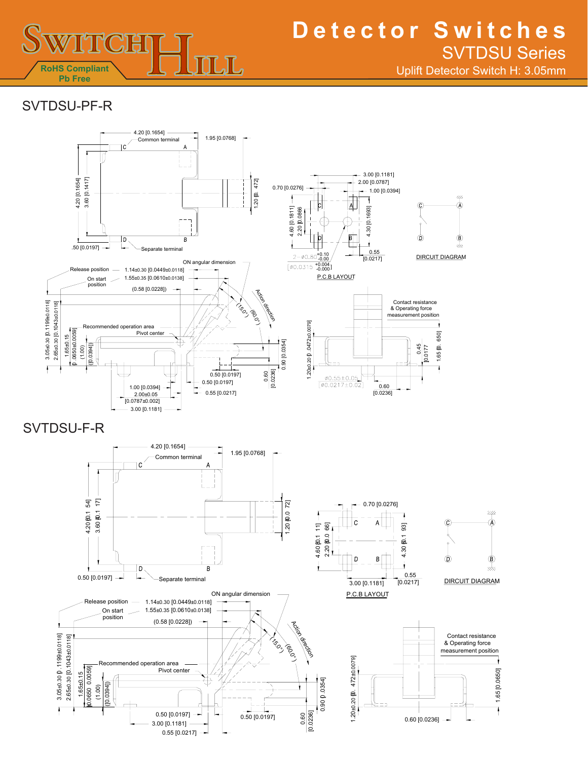

## **Detector Switches** Uplift Detector Switch H: 3.05mm SVTDSU Series

## SVTDSU-PF-R

0.50 [0.0197]

.

 $\dot{\sim}$ 

0.0059  $0.065000059$  $1.65 \pm 0.15$ 

 $0.0394$ ]  $(1.00)$ 

56 0± .30 [0 1. 0 ±34 . 0 110 8]

3 05 0± .30 [ 0 1. 1 ±99 0. 0 811 ]



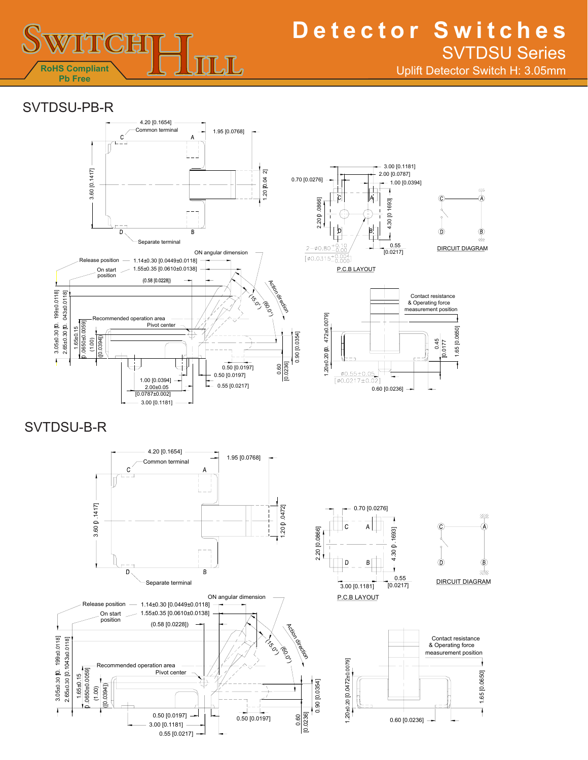

# **Detector Switches** SVTDSU Series

Uplift Detector Switch H: 3.05mm

1.65 [0.0650]

1.65 [0.0650]

 $^{\prime\prime\prime\prime}$ 

## SVTDSU-PB-R



SVTDSU-B-R